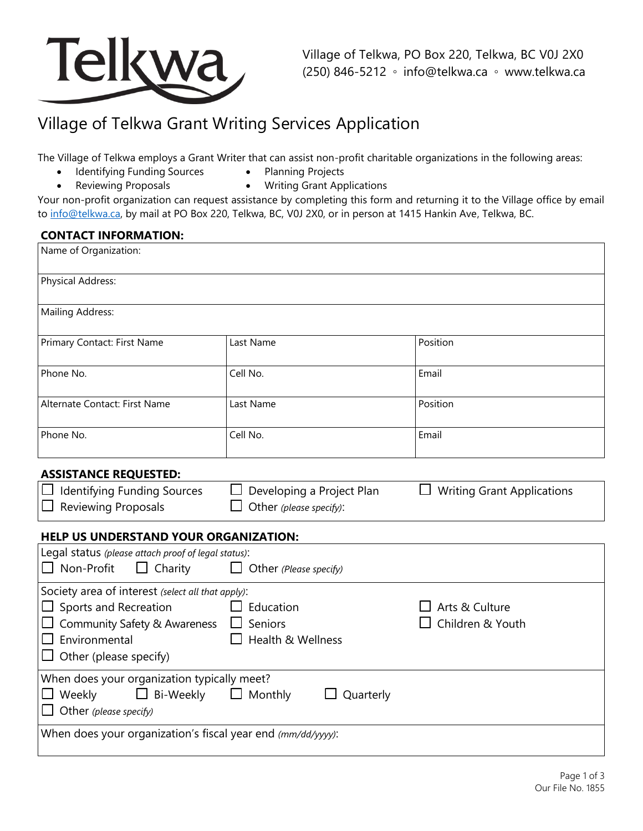

# Village of Telkwa Grant Writing Services Application

The Village of Telkwa employs a Grant Writer that can assist non-profit charitable organizations in the following areas:

- Identifying Funding Sources • Planning Projects
- Reviewing Proposals
- Writing Grant Applications

Your non-profit organization can request assistance by completing this form and returning it to the Village office by email to [info@telkwa.ca,](mailto:info@telkwa.ca) by mail at PO Box 220, Telkwa, BC, V0J 2X0, or in person at 1415 Hankin Ave, Telkwa, BC.

## **CONTACT INFORMATION:**

| Name of Organization:                                                                                                                                             |                                                      |                                    |  |  |
|-------------------------------------------------------------------------------------------------------------------------------------------------------------------|------------------------------------------------------|------------------------------------|--|--|
| <b>Physical Address:</b>                                                                                                                                          |                                                      |                                    |  |  |
| Mailing Address:                                                                                                                                                  |                                                      |                                    |  |  |
| Primary Contact: First Name                                                                                                                                       | Last Name                                            | Position                           |  |  |
| Phone No.                                                                                                                                                         | Cell No.                                             | Email                              |  |  |
| Alternate Contact: First Name                                                                                                                                     | Last Name                                            | Position                           |  |  |
| Phone No.                                                                                                                                                         | Cell No.                                             | Email                              |  |  |
| <b>ASSISTANCE REQUESTED:</b>                                                                                                                                      |                                                      |                                    |  |  |
| Identifying Funding Sources<br><b>Reviewing Proposals</b>                                                                                                         | Developing a Project Plan<br>Other (please specify): | <b>Writing Grant Applications</b>  |  |  |
| <b>HELP US UNDERSTAND YOUR ORGANIZATION:</b>                                                                                                                      |                                                      |                                    |  |  |
| Legal status (please attach proof of legal status):<br>Non-Profit<br>$\Box$<br>Charity<br>$\Box$                                                                  | Other (Please specify)                               |                                    |  |  |
| Society area of interest (select all that apply):<br>Sports and Recreation<br>Community Safety & Awareness<br>$\Box$ Environmental<br>Other (please specify)<br>ப | Education<br>Seniors<br>Health & Wellness            | Arts & Culture<br>Children & Youth |  |  |
| When does your organization typically meet?<br>Weekly<br>Bi-Weekly<br>$\Box$ Monthly<br>Quarterly<br>Other (please specify)                                       |                                                      |                                    |  |  |
| When does your organization's fiscal year end (mm/dd/yyyy):                                                                                                       |                                                      |                                    |  |  |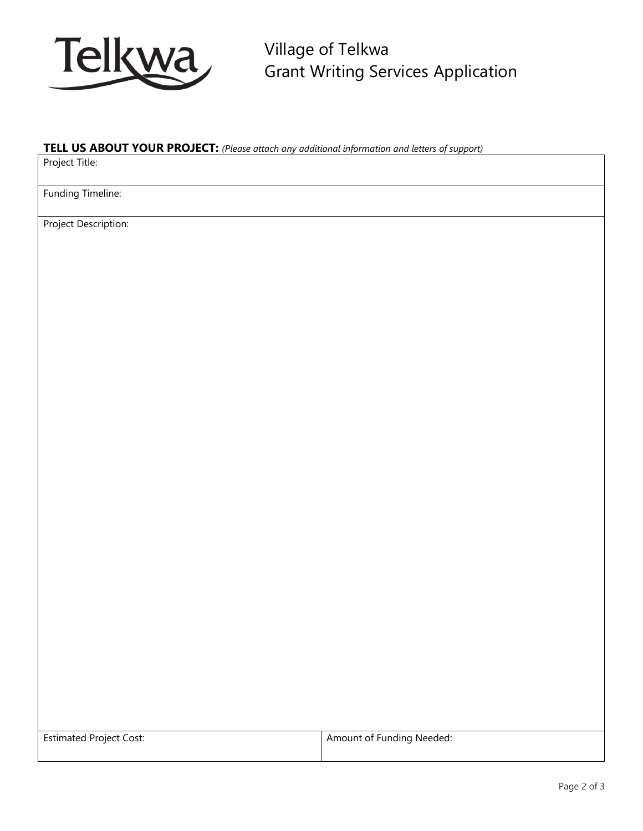

Village of Telkwa Grant Writing Services Application

## **TELL US ABOUT YOUR PROJECT:** *(Please attach any additional information and letters of support)*

Project Title:

Funding Timeline:

Project Description:

| <b>Estimated Project Cost:</b> | Amount of Funding Needed: |
|--------------------------------|---------------------------|
|                                |                           |